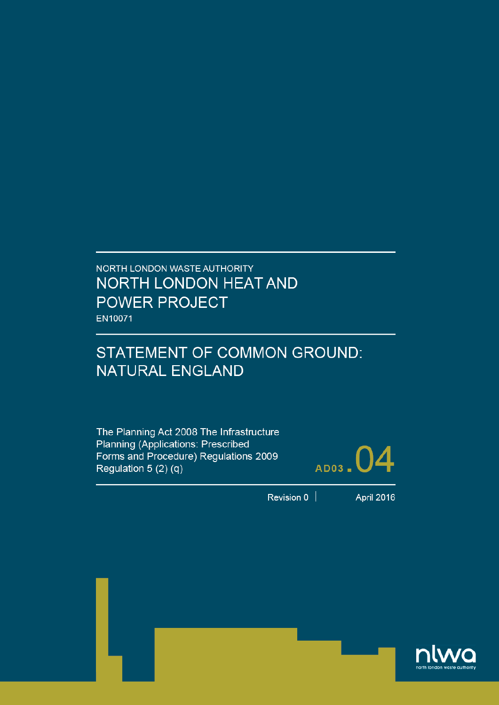# NORTH LONDON WASTE AUTHORITY NORTH LONDON HEAT AND **POWER PROJECT** EN10071

# STATEMENT OF COMMON GROUND: **NATURAL ENGLAND**

The Planning Act 2008 The Infrastructure Planning (Applications: Prescribed Forms and Procedure) Regulations 2009 Regulation  $5(2)(q)$ 



Revision  $0$ 

**April 2016** 

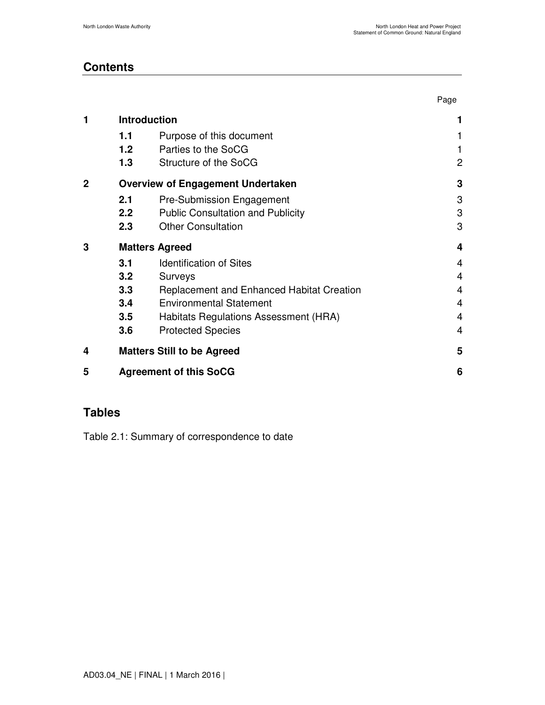Page

### **Contents**

| 1            | <b>Introduction</b>                      |                                                  |                |  |
|--------------|------------------------------------------|--------------------------------------------------|----------------|--|
|              | 1.1                                      | Purpose of this document                         | 1              |  |
|              | 1.2                                      | Parties to the SoCG                              |                |  |
|              | 1.3                                      | Structure of the SoCG                            | $\overline{c}$ |  |
| $\mathbf{2}$ | <b>Overview of Engagement Undertaken</b> |                                                  |                |  |
|              | 2.1                                      | Pre-Submission Engagement                        | 3              |  |
|              | 2.2                                      | <b>Public Consultation and Publicity</b>         | 3              |  |
|              | 2.3                                      | <b>Other Consultation</b>                        | 3              |  |
| 3            | <b>Matters Agreed</b>                    | 4                                                |                |  |
|              | 3.1                                      | <b>Identification of Sites</b>                   | 4              |  |
|              | 3.2                                      | Surveys                                          | $\overline{4}$ |  |
|              | 3.3                                      | <b>Replacement and Enhanced Habitat Creation</b> | $\overline{4}$ |  |
|              | 3.4                                      | <b>Environmental Statement</b>                   | 4              |  |
|              | 3.5                                      | Habitats Regulations Assessment (HRA)            | 4              |  |
|              | 3.6                                      | <b>Protected Species</b>                         | 4              |  |
| 4            |                                          | <b>Matters Still to be Agreed</b>                | 5              |  |
| 5            | <b>Agreement of this SoCG</b>            |                                                  |                |  |
|              |                                          |                                                  |                |  |

### **Tables**

Table 2.1: Summary of correspondence to date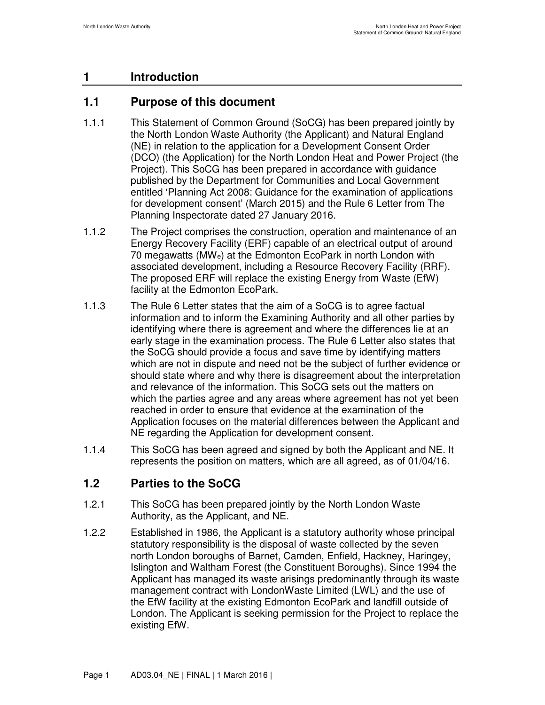# **1 Introduction**

## **1.1 Purpose of this document**

- 1.1.1 This Statement of Common Ground (SoCG) has been prepared jointly by the North London Waste Authority (the Applicant) and Natural England (NE) in relation to the application for a Development Consent Order (DCO) (the Application) for the North London Heat and Power Project (the Project). This SoCG has been prepared in accordance with guidance published by the Department for Communities and Local Government entitled 'Planning Act 2008: Guidance for the examination of applications for development consent' (March 2015) and the Rule 6 Letter from The Planning Inspectorate dated 27 January 2016.
- 1.1.2 The Project comprises the construction, operation and maintenance of an Energy Recovery Facility (ERF) capable of an electrical output of around 70 megawatts (MWe) at the Edmonton EcoPark in north London with associated development, including a Resource Recovery Facility (RRF). The proposed ERF will replace the existing Energy from Waste (EfW) facility at the Edmonton EcoPark.
- 1.1.3 The Rule 6 Letter states that the aim of a SoCG is to agree factual information and to inform the Examining Authority and all other parties by identifying where there is agreement and where the differences lie at an early stage in the examination process. The Rule 6 Letter also states that the SoCG should provide a focus and save time by identifying matters which are not in dispute and need not be the subject of further evidence or should state where and why there is disagreement about the interpretation and relevance of the information. This SoCG sets out the matters on which the parties agree and any areas where agreement has not yet been reached in order to ensure that evidence at the examination of the Application focuses on the material differences between the Applicant and NE regarding the Application for development consent.
- 1.1.4 This SoCG has been agreed and signed by both the Applicant and NE. It represents the position on matters, which are all agreed, as of 01/04/16.

# **1.2 Parties to the SoCG**

- 1.2.1 This SoCG has been prepared jointly by the North London Waste Authority, as the Applicant, and NE.
- 1.2.2 Established in 1986, the Applicant is a statutory authority whose principal statutory responsibility is the disposal of waste collected by the seven north London boroughs of Barnet, Camden, Enfield, Hackney, Haringey, Islington and Waltham Forest (the Constituent Boroughs). Since 1994 the Applicant has managed its waste arisings predominantly through its waste management contract with LondonWaste Limited (LWL) and the use of the EfW facility at the existing Edmonton EcoPark and landfill outside of London. The Applicant is seeking permission for the Project to replace the existing EfW.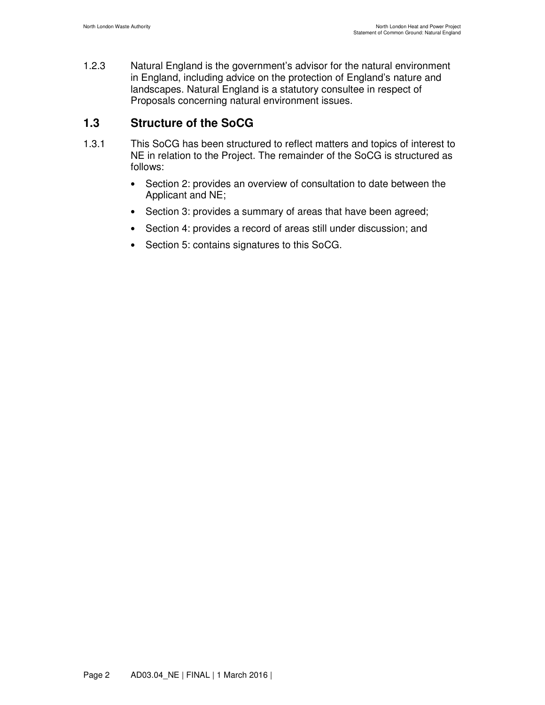1.2.3 Natural England is the government's advisor for the natural environment in England, including advice on the protection of England's nature and landscapes. Natural England is a statutory consultee in respect of Proposals concerning natural environment issues.

### **1.3 Structure of the SoCG**

- 1.3.1 This SoCG has been structured to reflect matters and topics of interest to NE in relation to the Project. The remainder of the SoCG is structured as follows:
	- Section 2: provides an overview of consultation to date between the Applicant and NE;
	- Section 3: provides a summary of areas that have been agreed;
	- Section 4: provides a record of areas still under discussion; and
	- Section 5: contains signatures to this SoCG.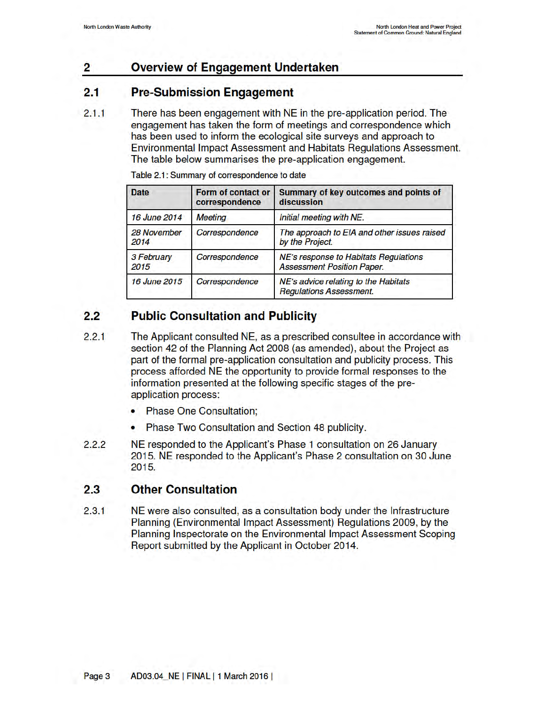#### $\mathbf{2}$ Overview of Engagement Undertaken

#### $2.1$ **Pre-Submission Engagement**

 $2.1.1$ There has been engagement with NE in the pre-application period. The engagement has taken the form of meetings and correspondence which has been used to inform the ecological site surveys and approach to Environmental Impact Assessment and Habitats Regulations Assessment. The table below summarises the pre-application engagement.

| <b>Date</b>         | Form of contact or<br>correspondence | Summary of key outcomes and points of<br>discussion                        |
|---------------------|--------------------------------------|----------------------------------------------------------------------------|
| 16 June 2014        | <b>Meeting</b>                       | Initial meeting with NE.                                                   |
| 28 November<br>2014 | Correspondence                       | The approach to EIA and other issues raised<br>by the Project.             |
| 3 February<br>2015  | Correspondence                       | NE's response to Habitats Regulations<br><b>Assessment Position Paper.</b> |
| 16 June 2015        | Correspondence                       | NE's advice relating to the Habitats<br><b>Regulations Assessment.</b>     |

Table 2.1: Summary of correspondence to date

#### **Public Consultation and Publicity**  $2.2$

- The Applicant consulted NE, as a prescribed consultee in accordance with  $2.2.1$ section 42 of the Planning Act 2008 (as amended), about the Project as part of the formal pre-application consultation and publicity process. This process afforded NE the opportunity to provide formal responses to the information presented at the following specific stages of the preapplication process:
	- Phase One Consultation;
	- Phase Two Consultation and Section 48 publicity.
- $2.2.2$ NE responded to the Applicant's Phase 1 consultation on 26 January 2015. NE responded to the Applicant's Phase 2 consultation on 30 June 2015.

#### $2.3$ **Other Consultation**

 $2.3.1$ NE were also consulted, as a consultation body under the Infrastructure Planning (Environmental Impact Assessment) Regulations 2009, by the Planning Inspectorate on the Environmental Impact Assessment Scoping Report submitted by the Applicant in October 2014.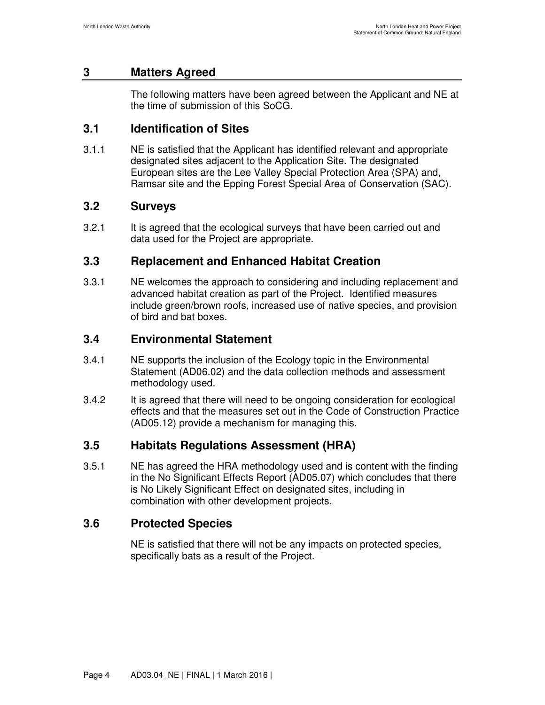#### **3 Matters Agreed**

The following matters have been agreed between the Applicant and NE at the time of submission of this SoCG.

### **3.1 Identification of Sites**

3.1.1 NE is satisfied that the Applicant has identified relevant and appropriate designated sites adjacent to the Application Site. The designated European sites are the Lee Valley Special Protection Area (SPA) and, Ramsar site and the Epping Forest Special Area of Conservation (SAC).

#### **3.2 Surveys**

3.2.1 It is agreed that the ecological surveys that have been carried out and data used for the Project are appropriate.

### **3.3 Replacement and Enhanced Habitat Creation**

3.3.1 NE welcomes the approach to considering and including replacement and advanced habitat creation as part of the Project. Identified measures include green/brown roofs, increased use of native species, and provision of bird and bat boxes.

### **3.4 Environmental Statement**

- 3.4.1 NE supports the inclusion of the Ecology topic in the Environmental Statement (AD06.02) and the data collection methods and assessment methodology used.
- 3.4.2 It is agreed that there will need to be ongoing consideration for ecological effects and that the measures set out in the Code of Construction Practice (AD05.12) provide a mechanism for managing this.

### **3.5 Habitats Regulations Assessment (HRA)**

3.5.1 NE has agreed the HRA methodology used and is content with the finding in the No Significant Effects Report (AD05.07) which concludes that there is No Likely Significant Effect on designated sites, including in combination with other development projects.

### **3.6 Protected Species**

NE is satisfied that there will not be any impacts on protected species, specifically bats as a result of the Project.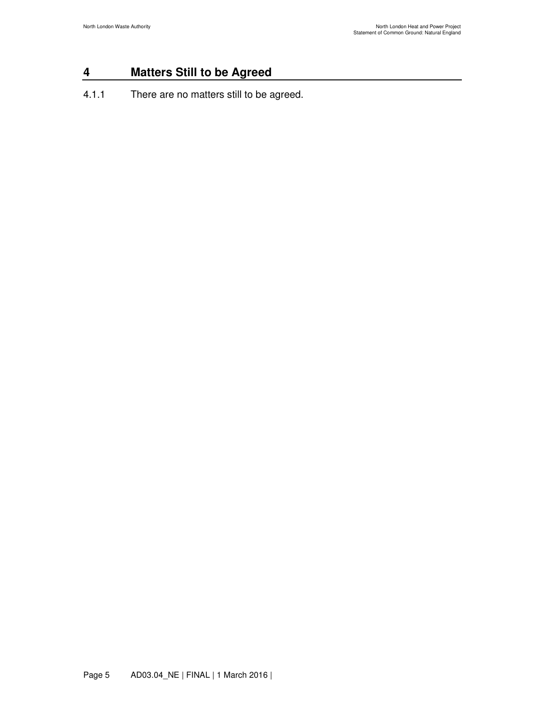### **4 Matters Still to be Agreed**

4.1.1 There are no matters still to be agreed.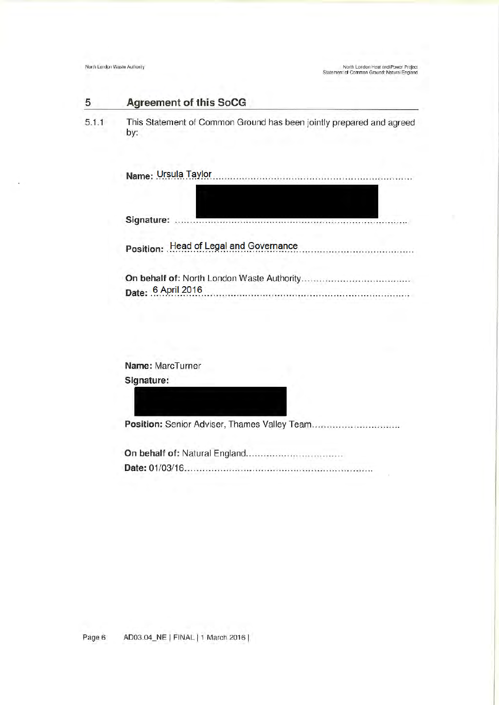#### 5 **Agreement of this SoCG**

This Statement of Common Ground has been jointly prepared and agreed  $5.1.1$ by:

| Signature: |  |                                        |
|------------|--|----------------------------------------|
|            |  | Position: Head of Legal and Governance |
|            |  | Date: 6 April 2016                     |

Name: MarcTurner Signature: